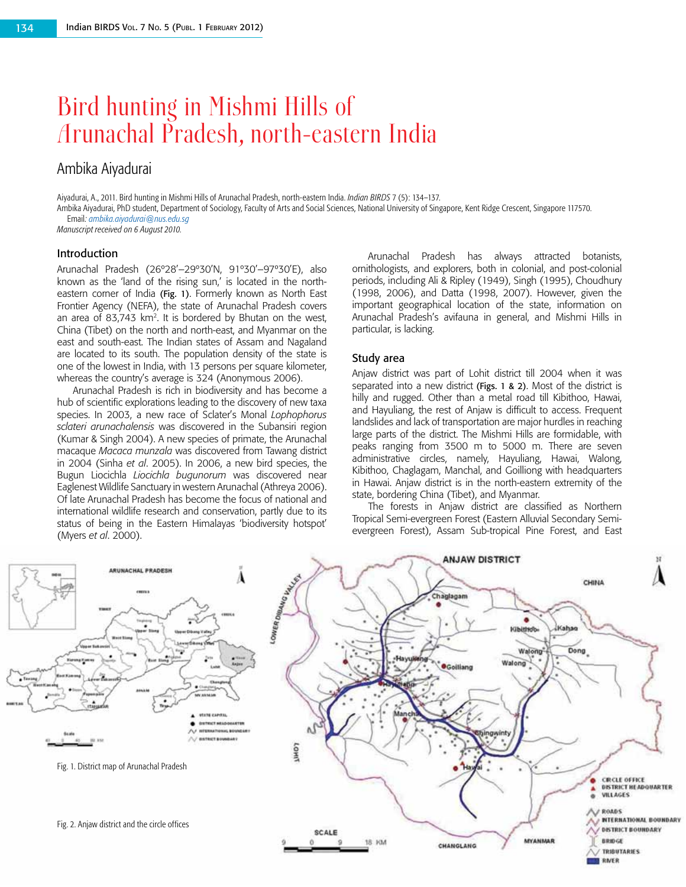# Bird hunting in Mishmi Hills of Arunachal Pradesh, north-eastern India

# Ambika Aiyadurai

Aiyadurai, A., 2011. Bird hunting in Mishmi Hills of Arunachal Pradesh, north-eastern India. *Indian BIRDS* 7 (5): 134–137.

Ambika Aiyadurai, PhD student, Department of Sociology, Faculty of Arts and Social Sciences, National University of Singapore, Kent Ridge Crescent, Singapore 117570. Email*: [ambika.aiyadurai@nus.edu.sg](mailto:ambika.aiyadurai@nus.edu.sg)*

*Manuscript received on 6 August 2010.*

#### Introduction

Arunachal Pradesh (26º28'–29º30'N, 91º30'–97º30'E), also known as the 'land of the rising sun,' is located in the northeastern corner of India (Fig. 1). Formerly known as North East Frontier Agency (NEFA), the state of Arunachal Pradesh covers an area of 83,743 km<sup>2</sup>. It is bordered by Bhutan on the west, China (Tibet) on the north and north-east, and Myanmar on the east and south-east. The Indian states of Assam and Nagaland are located to its south. The population density of the state is one of the lowest in India, with 13 persons per square kilometer, whereas the country's average is 324 (Anonymous 2006).

Arunachal Pradesh is rich in biodiversity and has become a hub of scientific explorations leading to the discovery of new taxa species. In 2003, a new race of Sclater's Monal *Lophophorus sclateri arunachalensis* was discovered in the Subansiri region (Kumar & Singh 2004). A new species of primate, the Arunachal macaque *Macaca munzala* was discovered from Tawang district in 2004 (Sinha *et al*. 2005). In 2006, a new bird species, the Bugun Liocichla *Liocichla bugunorum* was discovered near Eaglenest Wildlife Sanctuary in western Arunachal (Athreya 2006). Of late Arunachal Pradesh has become the focus of national and international wildlife research and conservation, partly due to its status of being in the Eastern Himalayas 'biodiversity hotspot' (Myers *et al*. 2000).

Arunachal Pradesh has always attracted botanists, ornithologists, and explorers, both in colonial, and post-colonial periods, including Ali & Ripley (1949), Singh (1995), Choudhury (1998, 2006), and Datta (1998, 2007). However, given the important geographical location of the state, information on Arunachal Pradesh's avifauna in general, and Mishmi Hills in particular, is lacking.

#### Study area

Anjaw district was part of Lohit district till 2004 when it was separated into a new district (Figs. 1 & 2). Most of the district is hilly and rugged. Other than a metal road till Kibithoo, Hawai, and Hayuliang, the rest of Anjaw is difficult to access. Frequent landslides and lack of transportation are major hurdles in reaching large parts of the district. The Mishmi Hills are formidable, with peaks ranging from 3500 m to 5000 m. There are seven administrative circles, namely, Hayuliang, Hawai, Walong, Kibithoo, Chaglagam, Manchal, and Goilliong with headquarters in Hawai. Anjaw district is in the north-eastern extremity of the state, bordering China (Tibet), and Myanmar.

The forests in Anjaw district are classified as Northern Tropical Semi-evergreen Forest (Eastern Alluvial Secondary Semievergreen Forest), Assam Sub-tropical Pine Forest, and East

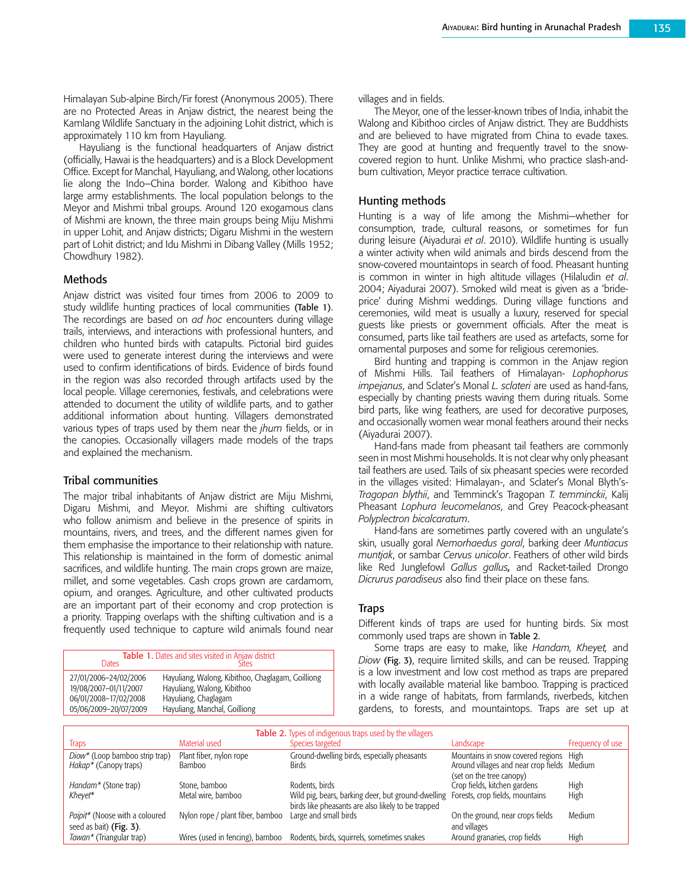Himalayan Sub-alpine Birch/Fir forest (Anonymous 2005). There are no Protected Areas in Anjaw district, the nearest being the Kamlang Wildlife Sanctuary in the adjoining Lohit district, which is approximately 110 km from Hayuliang.

Hayuliang is the functional headquarters of Anjaw district (officially, Hawai is the headquarters) and is a Block Development Office. Except for Manchal, Hayuliang, and Walong, other locations lie along the Indo–China border. Walong and Kibithoo have large army establishments. The local population belongs to the Meyor and Mishmi tribal groups. Around 120 exogamous clans of Mishmi are known, the three main groups being Miju Mishmi in upper Lohit, and Anjaw districts; Digaru Mishmi in the western part of Lohit district; and Idu Mishmi in Dibang Valley (Mills 1952; Chowdhury 1982).

#### Methods

Anjaw district was visited four times from 2006 to 2009 to study wildlife hunting practices of local communities (Table 1). The recordings are based on *ad hoc* encounters during village trails, interviews, and interactions with professional hunters, and children who hunted birds with catapults. Pictorial bird guides were used to generate interest during the interviews and were used to confirm identifications of birds. Evidence of birds found in the region was also recorded through artifacts used by the local people. Village ceremonies, festivals, and celebrations were attended to document the utility of wildlife parts, and to gather additional information about hunting. Villagers demonstrated various types of traps used by them near the *jhum* fields, or in the canopies. Occasionally villagers made models of the traps and explained the mechanism.

#### Tribal communities

The major tribal inhabitants of Anjaw district are Miju Mishmi, Digaru Mishmi, and Meyor. Mishmi are shifting cultivators who follow animism and believe in the presence of spirits in mountains, rivers, and trees, and the different names given for them emphasise the importance to their relationship with nature. This relationship is maintained in the form of domestic animal sacrifices, and wildlife hunting. The main crops grown are maize, millet, and some vegetables. Cash crops grown are cardamom, opium, and oranges. Agriculture, and other cultivated products are an important part of their economy and crop protection is a priority. Trapping overlaps with the shifting cultivation and is a frequently used technique to capture wild animals found near

| Table 1. Dates and sites visited in Anjaw district<br>Dates<br>Sites |                                                   |  |
|----------------------------------------------------------------------|---------------------------------------------------|--|
| 27/01/2006-24/02/2006                                                | Hayuliang, Walong, Kibithoo, Chaglagam, Goilliong |  |
| 19/08/2007-01/11/2007                                                | Hayuliang, Walong, Kibithoo                       |  |
| 06/01/2008-17/02/2008                                                | Hayuliang, Chaglagam                              |  |
| 05/06/2009-20/07/2009                                                | Hayuliang, Manchal, Goilliong                     |  |

villages and in fields.

The Meyor, one of the lesser-known tribes of India, inhabit the Walong and Kibithoo circles of Anjaw district. They are Buddhists and are believed to have migrated from China to evade taxes. They are good at hunting and frequently travel to the snowcovered region to hunt. Unlike Mishmi, who practice slash-andburn cultivation, Meyor practice terrace cultivation.

#### Hunting methods

Hunting is a way of life among the Mishmi—whether for consumption, trade, cultural reasons, or sometimes for fun during leisure (Aiyadurai *et al*. 2010). Wildlife hunting is usually a winter activity when wild animals and birds descend from the snow-covered mountaintops in search of food. Pheasant hunting is common in winter in high altitude villages (Hilaludin *et al*. 2004; Aiyadurai 2007). Smoked wild meat is given as a 'brideprice' during Mishmi weddings. During village functions and ceremonies, wild meat is usually a luxury, reserved for special guests like priests or government officials. After the meat is consumed, parts like tail feathers are used as artefacts, some for ornamental purposes and some for religious ceremonies.

Bird hunting and trapping is common in the Anjaw region of Mishmi Hills. Tail feathers of Himalayan- *Lophophorus impejanus*, and Sclater's Monal *L. sclateri* are used as hand-fans, especially by chanting priests waving them during rituals. Some bird parts, like wing feathers, are used for decorative purposes, and occasionally women wear monal feathers around their necks (Aiyadurai 2007).

Hand-fans made from pheasant tail feathers are commonly seen in most Mishmi households. It is not clear why only pheasant tail feathers are used. Tails of six pheasant species were recorded in the villages visited: Himalayan-, and Sclater's Monal Blyth's-*Tragopan blythii*, and Temminck's Tragopan *T. temminckii*, Kalij Pheasant *Lophura leucomelanos*, and Grey Peacock-pheasant *Polyplectron bicalcaratum*.

Hand-fans are sometimes partly covered with an ungulate's skin, usually goral *Nemorhaedus goral*, barking deer *Muntiacus muntjak*, or sambar *Cervus unicolor*. Feathers of other wild birds like Red Junglefowl *Gallus gallus,* and Racket-tailed Drongo *Dicrurus paradiseus* also find their place on these fans.

# Traps

Different kinds of traps are used for hunting birds. Six most commonly used traps are shown in Table 2.

Some traps are easy to make, like *Handam, Kheyet,* and *Diow* (Fig. 3), require limited skills, and can be reused. Trapping is a low investment and low cost method as traps are prepared with locally available material like bamboo. Trapping is practiced in a wide range of habitats, from farmlands, riverbeds, kitchen gardens, to forests, and mountaintops. Traps are set up at

| <b>Table 2.</b> Types of indigenous traps used by the villagers |                                  |                                                                                    |                                             |                  |  |  |
|-----------------------------------------------------------------|----------------------------------|------------------------------------------------------------------------------------|---------------------------------------------|------------------|--|--|
| Traps                                                           | Material used                    | Species targeted                                                                   | Landscape                                   | Frequency of use |  |  |
| Diow* (Loop bamboo strip trap)                                  | Plant fiber, nylon rope          | Ground-dwelling birds, especially pheasants                                        | Mountains in snow covered regions High      |                  |  |  |
| Hakap* (Canopy traps)                                           | <b>Bamboo</b>                    | <b>Birds</b>                                                                       | Around villages and near crop fields Medium |                  |  |  |
|                                                                 |                                  |                                                                                    | (set on the tree canopy)                    |                  |  |  |
| Handam <sup>*</sup> (Stone trap)                                | Stone, bamboo                    | Rodents, birds                                                                     | Crop fields, kitchen gardens                | High             |  |  |
| Kheyet*                                                         | Metal wire, bamboo               | Wild pig, bears, barking deer, but ground-dwelling Forests, crop fields, mountains |                                             | High             |  |  |
|                                                                 |                                  | birds like pheasants are also likely to be trapped                                 |                                             |                  |  |  |
| Paipit* (Noose with a coloured                                  | Nylon rope / plant fiber, bamboo | Large and small birds                                                              | On the ground, near crops fields            | Medium           |  |  |
| seed as bait) (Fig. 3).                                         |                                  |                                                                                    | and villages                                |                  |  |  |
| Tawan* (Triangular trap)                                        | Wires (used in fencing), bamboo  | Rodents, birds, squirrels, sometimes snakes                                        | Around granaries, crop fields               | High             |  |  |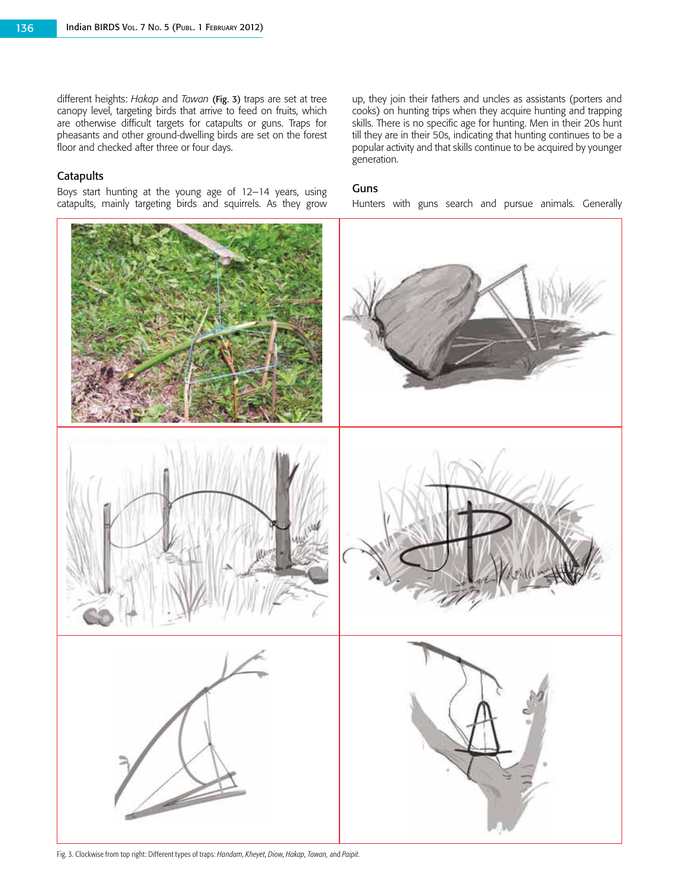different heights: *Hakap* and *Tawan* (Fig. 3) traps are set at tree canopy level, targeting birds that arrive to feed on fruits, which are otherwise difficult targets for catapults or guns. Traps for pheasants and other ground-dwelling birds are set on the forest floor and checked after three or four days.

# **Catapults**

Boys start hunting at the young age of 12–14 years, using catapults, mainly targeting birds and squirrels. As they grow

up, they join their fathers and uncles as assistants (porters and cooks) on hunting trips when they acquire hunting and trapping skills. There is no specific age for hunting. Men in their 20s hunt till they are in their 50s, indicating that hunting continues to be a popular activity and that skills continue to be acquired by younger generation.

#### Guns

Hunters with guns search and pursue animals. Generally



Fig. 3. Clockwise from top right: Different types of traps: *Handam*, *Kheyet*, *Diow*, *Hakap*, *Tawan,* and *Paipit*.